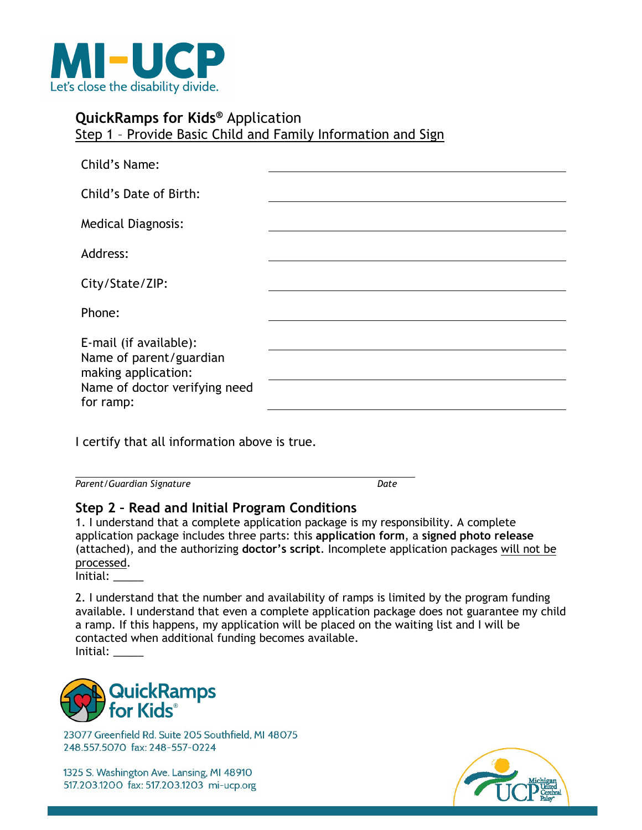

### **QuickRamps for Kids®** Application Step 1 – Provide Basic Child and Family Information and Sign

| Child's Name:                                                                                                          |  |
|------------------------------------------------------------------------------------------------------------------------|--|
| Child's Date of Birth:                                                                                                 |  |
| <b>Medical Diagnosis:</b>                                                                                              |  |
| Address:                                                                                                               |  |
| City/State/ZIP:                                                                                                        |  |
| Phone:                                                                                                                 |  |
| E-mail (if available):<br>Name of parent/guardian<br>making application:<br>Name of doctor verifying need<br>for ramp: |  |

I certify that all information above is true.

*Parent/Guardian Signature Date*

## **Step 2 – Read and Initial Program Conditions**

1. I understand that a complete application package is my responsibility. A complete application package includes three parts: this **application form**, a **signed photo release**  (attached), and the authorizing **doctor's script**. Incomplete application packages will not be processed.

Initial: \_\_\_\_\_

2. I understand that the number and availability of ramps is limited by the program funding available. I understand that even a complete application package does not guarantee my child a ramp. If this happens, my application will be placed on the waiting list and I will be contacted when additional funding becomes available. Initial: \_\_\_\_\_



23077 Greenfield Rd. Suite 205 Southfield, MI 48075 248.557.5070 fax: 248-557-0224

1325 S. Washington Ave. Lansing, MI 48910 517.203.1200 fax: 517.203.1203 mi-ucp.org

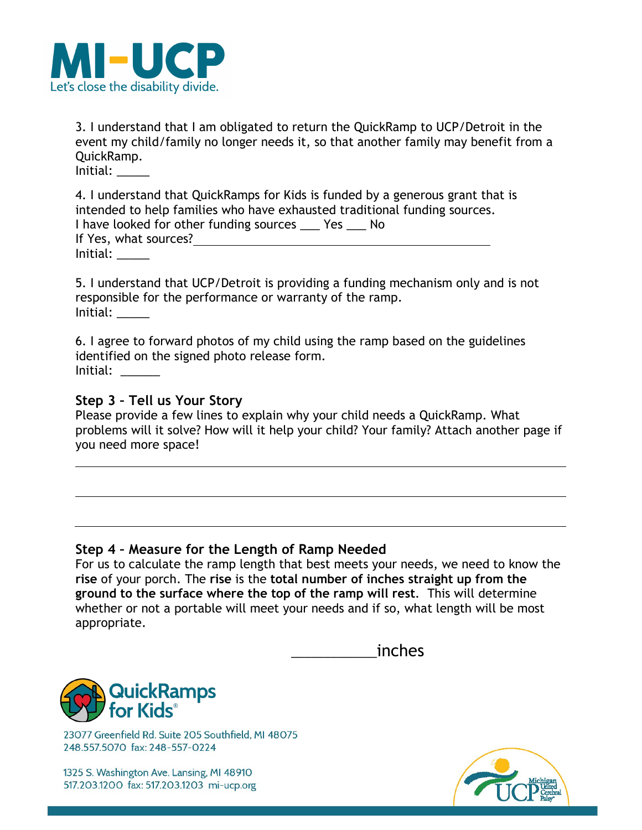

3. I understand that I am obligated to return the QuickRamp to UCP/Detroit in the event my child/family no longer needs it, so that another family may benefit from a QuickRamp.

 $Initial:$ 

4. I understand that QuickRamps for Kids is funded by a generous grant that is intended to help families who have exhausted traditional funding sources. I have looked for other funding sources \_\_\_ Yes \_\_\_ No If Yes, what sources? Initial: \_\_\_\_\_

5. I understand that UCP/Detroit is providing a funding mechanism only and is not responsible for the performance or warranty of the ramp. Initial: \_\_\_\_\_

6. I agree to forward photos of my child using the ramp based on the guidelines identified on the signed photo release form. Initial: \_\_\_\_\_\_

#### **Step 3 – Tell us Your Story**

Please provide a few lines to explain why your child needs a QuickRamp. What problems will it solve? How will it help your child? Your family? Attach another page if you need more space!

#### **Step 4 – Measure for the Length of Ramp Needed**

For us to calculate the ramp length that best meets your needs, we need to know the **rise** of your porch. The **rise** is the **total number of inches straight up from the ground to the surface where the top of the ramp will rest**. This will determine whether or not a portable will meet your needs and if so, what length will be most appropriate.

| inches |
|--------|
|        |



23077 Greenfield Rd. Suite 205 Southfield, MI 48075 248.557.5070 fax: 248-557-0224

1325 S. Washington Ave. Lansing, MI 48910 517.203.1200 fax: 517.203.1203 mi-ucp.org